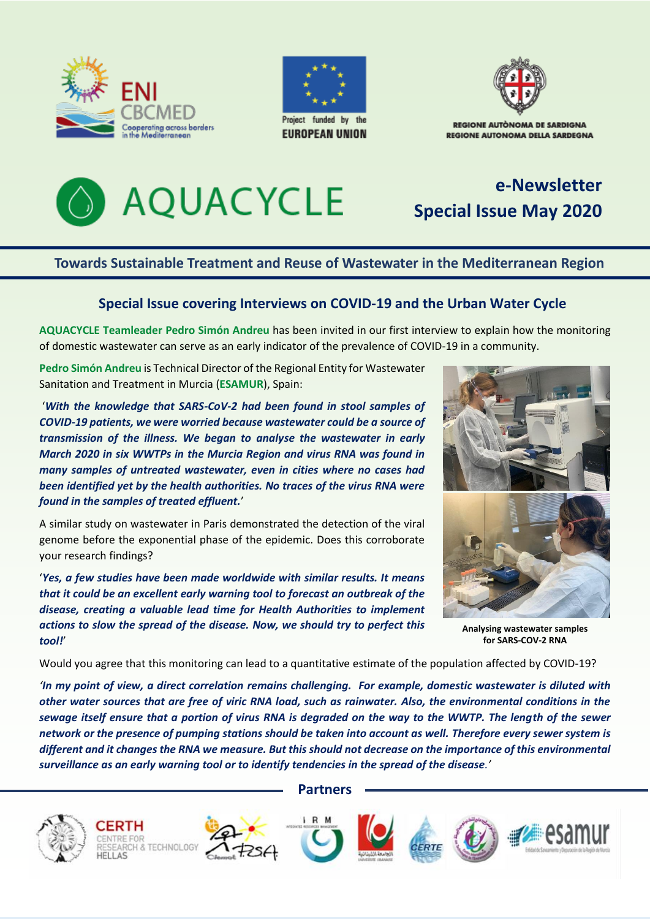





**REGIONE AUTONOMA DELLA SARDEGNA** 



# **e-Newsletter Special Issue May 2020**

### **Towards Sustainable Treatment and Reuse of Wastewater in the Mediterranean Region**

### **Special Issue covering Interviews on COVID-19 and the Urban Water Cycle**

**AQUACYCLE Teamleader Pedro Simón Andreu** has been invited in our first interview to explain how the monitoring of domestic wastewater can serve as an early indicator of the prevalence of COVID-19 in a community.

**Pedro Simón Andreu** is Technical Director of the Regional Entity for Wastewater Sanitation and Treatment in Murcia (**ESAMUR**), Spain:

'*With the knowledge that SARS-CoV-2 had been found in stool samples of COVID-19 patients, we were worried because wastewater could be a source of transmission of the illness. We began to analyse the wastewater in early March 2020 in six WWTPs in the Murcia Region and virus RNA was found in many samples of untreated wastewater, even in cities where no cases had been identified yet by the health authorities. No traces of the virus RNA were found in the samples of treated effluent.*'

A similar study on wastewater in Paris demonstrated the detection of the viral genome before the exponential phase of the epidemic. Does this corroborate your research findings?

'*Yes, a few studies have been made worldwide with similar results. It means that it could be an excellent early warning tool to forecast an outbreak of the disease, creating a valuable lead time for Health Authorities to implement actions to slow the spread of the disease. Now, we should try to perfect this tool!*'



**Analysing wastewater samples for SARS-COV-2 RNA**

Would you agree that this monitoring can lead to a quantitative estimate of the population affected by COVID-19?

*'In my point of view, a direct correlation remains challenging. For example, domestic wastewater is diluted with other water sources that are free of viric RNA load, such as rainwater. Also, the environmental conditions in the sewage itself ensure that a portion of virus RNA is degraded on the way to the WWTP. The length of the sewer network or the presence of pumping stations should be taken into account as well. Therefore every sewer system is different and it changes the RNA we measure. But this should not decrease on the importance of this environmental surveillance as an early warning tool or to identify tendencies in the spread of the disease.'*



**Partners**

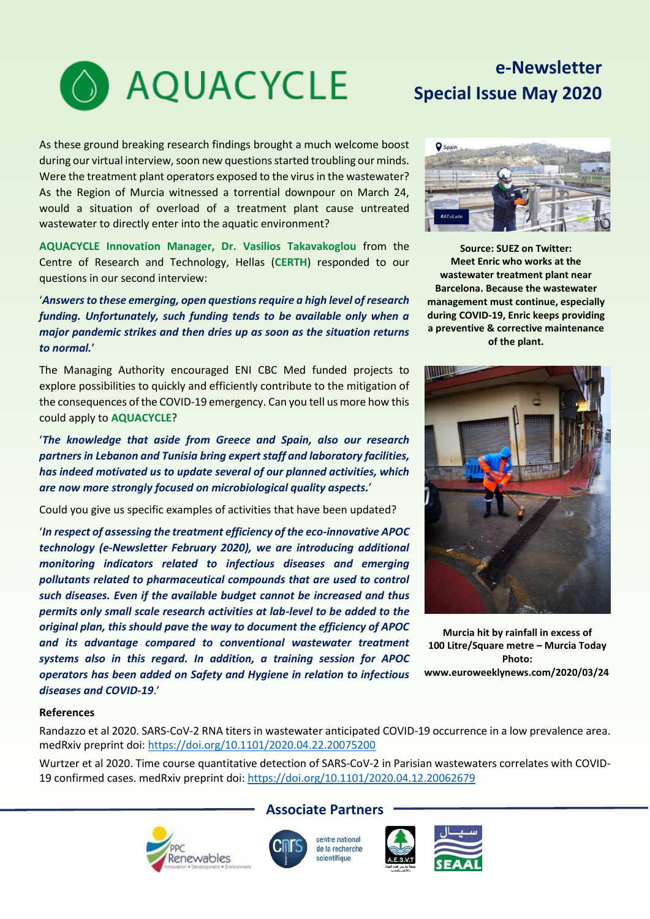

# **e-Newsletter Special Issue May 2020**

As these ground breaking research findings brought a much welcome boost during our virtual interview, soon new questions started troubling our minds. Were the treatment plant operators exposed to the virus in the wastewater? As the Region of Murcia witnessed a torrential downpour on March 24, would a situation of overload of a treatment plant cause untreated wastewater to directly enter into the aquatic environment?

**AQUACYCLE Innovation Manager, Dr. Vasilios Takavakoglou** from the Centre of Research and Technology, Hellas (**CERTH**) responded to our questions in our second interview:

#### '*Answers to these emerging, open questions require a high level of research funding. Unfortunately, such funding tends to be available only when a major pandemic strikes and then dries up as soon as the situation returns to normal.*'

The Managing Authority encouraged ENI CBC Med funded projects to explore possibilities to quickly and efficiently contribute to the mitigation of the consequences of the COVID-19 emergency. Can you tell us more how this could apply to **AQUACYCLE**?

'*The knowledge that aside from Greece and Spain, also our research partners in Lebanon and Tunisia bring expert staff and laboratory facilities, has indeed motivated us to update several of our planned activities, which are now more strongly focused on microbiological quality aspects.*'

Could you give us specific examples of activities that have been updated?

'*In respect of assessing the treatment efficiency of the eco-innovative APOC technology (e-Newsletter February 2020), we are introducing additional monitoring indicators related to infectious diseases and emerging pollutants related to pharmaceutical compounds that are used to control such diseases. Even if the available budget cannot be increased and thus permits only small scale research activities at lab-level to be added to the original plan, this should pave the way to document the efficiency of APOC and its advantage compared to conventional wastewater treatment systems also in this regard. In addition, a training session for APOC operators has been added on Safety and Hygiene in relation to infectious diseases and COVID-19*.'



**Source: SUEZ on Twitter: Meet Enric who works at the wastewater treatment plant near Barcelona. Because the wastewater management must continue, especially during COVID-19, Enric keeps providing a preventive & corrective maintenance of the plant.**



**Murcia hit by rainfall in excess of 100 Litre/Square metre – Murcia Today Photo: www.euroweeklynews.com/2020/03/24**

#### **References**

Randazzo et al 2020. SARS-CoV-2 RNA titers in wastewater anticipated COVID-19 occurrence in a low prevalence area. medRxiv preprint doi:<https://doi.org/10.1101/2020.04.22.20075200>

Wurtzer et al 2020. Time course quantitative detection of SARS-CoV-2 in Parisian wastewaters correlates with COVID-19 confirmed cases. medRxiv preprint doi:<https://doi.org/10.1101/2020.04.12.20062679>



#### **Associate Partners**

centre national de la recherche scientifique